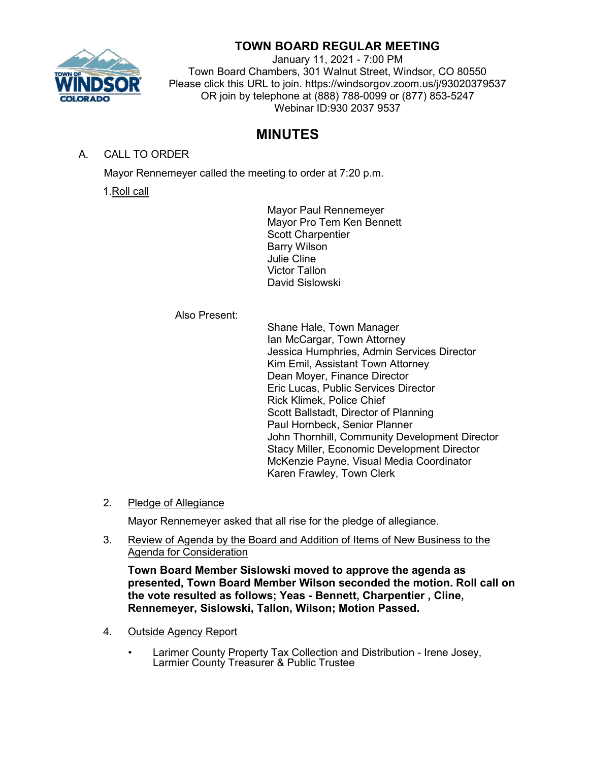

## **TOWN BOARD REGULAR MEETING**

January 11, 2021 - 7:00 PM Town Board Chambers, 301 Walnut Street, Windsor, CO 80550 Please click this URL to join. https://windsorgov.zoom.us/j/93020379537 OR join by telephone at (888) 788-0099 or (877) 853-5247 Webinar ID:930 2037 9537

# **MINUTES**

A. CALL TO ORDER

Mayor Rennemeyer called the meeting to order at 7:20 p.m.

1.Roll call

Mayor Paul Rennemeyer Mayor Pro Tem Ken Bennett Scott Charpentier Barry Wilson Julie Cline Victor Tallon David Sislowski

Also Present:

Shane Hale, Town Manager Ian McCargar, Town Attorney Jessica Humphries, Admin Services Director Kim Emil, Assistant Town Attorney Dean Moyer, Finance Director Eric Lucas, Public Services Director Rick Klimek, Police Chief Scott Ballstadt, Director of Planning Paul Hornbeck, Senior Planner John Thornhill, Community Development Director Stacy Miller, Economic Development Director McKenzie Payne, Visual Media Coordinator Karen Frawley, Town Clerk

2. Pledge of Allegiance

Mayor Rennemeyer asked that all rise for the pledge of allegiance.

3. Review of Agenda by the Board and Addition of Items of New Business to the Agenda for Consideration

**Town Board Member Sislowski moved to approve the agenda as presented, Town Board Member Wilson seconded the motion. Roll call on the vote resulted as follows; Yeas - Bennett, Charpentier , Cline, Rennemeyer, Sislowski, Tallon, Wilson; Motion Passed.**

- 4. Outside Agency Report
	- Larimer County Property Tax Collection and Distribution Irene Josey, Larmier County Treasurer & Public Trustee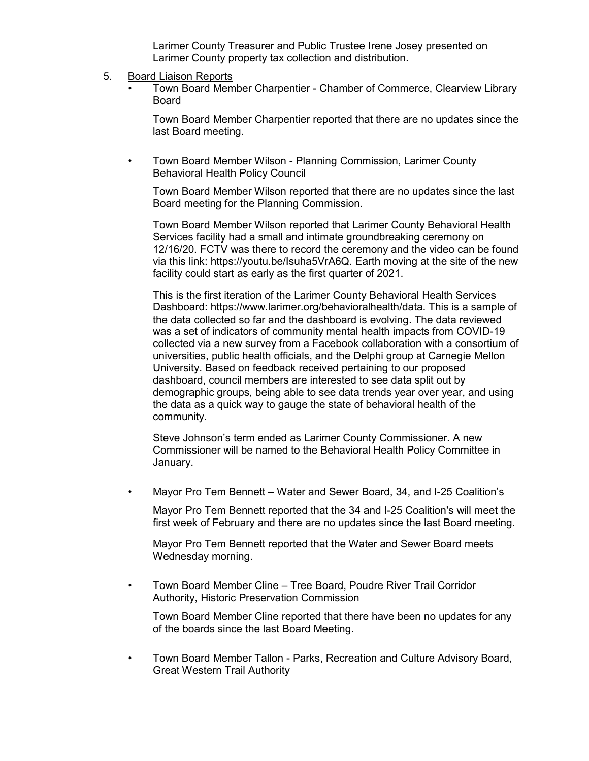Larimer County Treasurer and Public Trustee Irene Josey presented on Larimer County property tax collection and distribution.

- 5. Board Liaison Reports
	- Town Board Member Charpentier Chamber of Commerce, Clearview Library Board

Town Board Member Charpentier reported that there are no updates since the last Board meeting.

• Town Board Member Wilson - Planning Commission, Larimer County Behavioral Health Policy Council

Town Board Member Wilson reported that there are no updates since the last Board meeting for the Planning Commission.

Town Board Member Wilson reported that Larimer County Behavioral Health Services facility had a small and intimate groundbreaking ceremony on 12/16/20. FCTV was there to record the ceremony and the video can be found via this link: https://youtu.be/Isuha5VrA6Q. Earth moving at the site of the new facility could start as early as the first quarter of 2021.

This is the first iteration of the Larimer County Behavioral Health Services Dashboard: https://www.larimer.org/behavioralhealth/data. This is a sample of the data collected so far and the dashboard is evolving. The data reviewed was a set of indicators of community mental health impacts from COVID-19 collected via a new survey from a Facebook collaboration with a consortium of universities, public health officials, and the Delphi group at Carnegie Mellon University. Based on feedback received pertaining to our proposed dashboard, council members are interested to see data split out by demographic groups, being able to see data trends year over year, and using the data as a quick way to gauge the state of behavioral health of the community.

Steve Johnson's term ended as Larimer County Commissioner. A new Commissioner will be named to the Behavioral Health Policy Committee in January.

• Mayor Pro Tem Bennett – Water and Sewer Board, 34, and I-25 Coalition's

Mayor Pro Tem Bennett reported that the 34 and I-25 Coalition's will meet the first week of February and there are no updates since the last Board meeting.

Mayor Pro Tem Bennett reported that the Water and Sewer Board meets Wednesday morning.

• Town Board Member Cline – Tree Board, Poudre River Trail Corridor Authority, Historic Preservation Commission

Town Board Member Cline reported that there have been no updates for any of the boards since the last Board Meeting.

• Town Board Member Tallon - Parks, Recreation and Culture Advisory Board, Great Western Trail Authority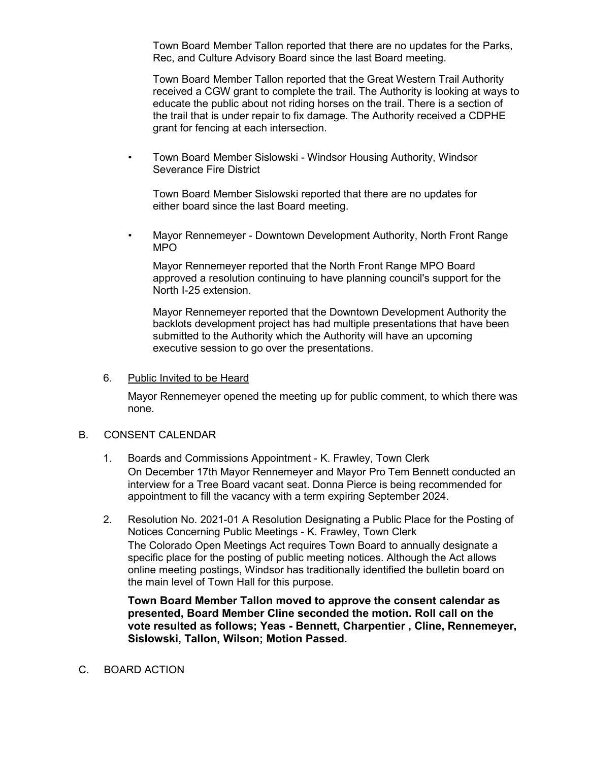Town Board Member Tallon reported that there are no updates for the Parks, Rec, and Culture Advisory Board since the last Board meeting.

Town Board Member Tallon reported that the Great Western Trail Authority received a CGW grant to complete the trail. The Authority is looking at ways to educate the public about not riding horses on the trail. There is a section of the trail that is under repair to fix damage. The Authority received a CDPHE grant for fencing at each intersection.

• Town Board Member Sislowski - Windsor Housing Authority, Windsor Severance Fire District

Town Board Member Sislowski reported that there are no updates for either board since the last Board meeting.

• Mayor Rennemeyer - Downtown Development Authority, North Front Range MPO

Mayor Rennemeyer reported that the North Front Range MPO Board approved a resolution continuing to have planning council's support for the North I-25 extension.

Mayor Rennemeyer reported that the Downtown Development Authority the backlots development project has had multiple presentations that have been submitted to the Authority which the Authority will have an upcoming executive session to go over the presentations.

#### 6. Public Invited to be Heard

Mayor Rennemeyer opened the meeting up for public comment, to which there was none.

## B. CONSENT CALENDAR

- 1. Boards and Commissions Appointment K. Frawley, Town Clerk On December 17th Mayor Rennemeyer and Mayor Pro Tem Bennett conducted an interview for a Tree Board vacant seat. Donna Pierce is being recommended for appointment to fill the vacancy with a term expiring September 2024.
- 2. Resolution No. 2021-01 A Resolution Designating a Public Place for the Posting of Notices Concerning Public Meetings - K. Frawley, Town Clerk The Colorado Open Meetings Act requires Town Board to annually designate a specific place for the posting of public meeting notices. Although the Act allows online meeting postings, Windsor has traditionally identified the bulletin board on the main level of Town Hall for this purpose.

**Town Board Member Tallon moved to approve the consent calendar as presented, Board Member Cline seconded the motion. Roll call on the vote resulted as follows; Yeas - Bennett, Charpentier , Cline, Rennemeyer, Sislowski, Tallon, Wilson; Motion Passed.**

#### C. BOARD ACTION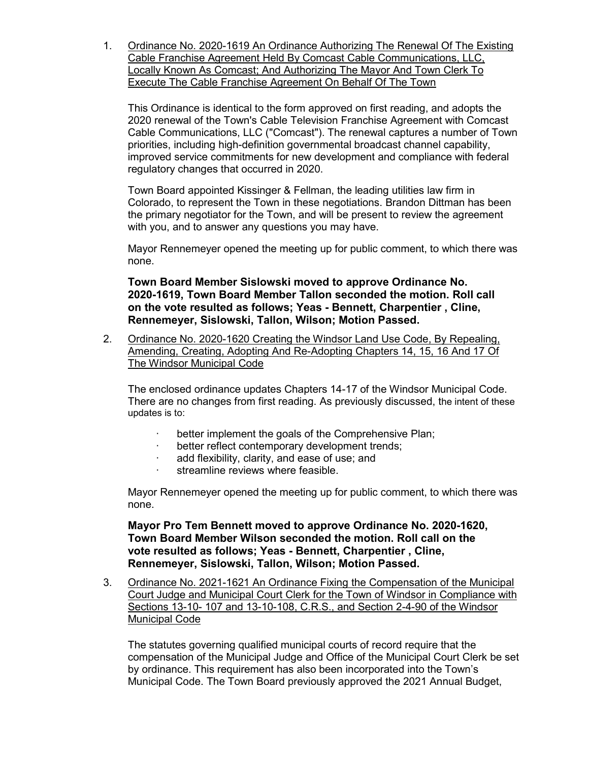1. Ordinance No. 2020-1619 An Ordinance Authorizing The Renewal Of The Existing Cable Franchise Agreement Held By Comcast Cable Communications, LLC, Locally Known As Comcast; And Authorizing The Mayor And Town Clerk To Execute The Cable Franchise Agreement On Behalf Of The Town

This Ordinance is identical to the form approved on first reading, and adopts the 2020 renewal of the Town's Cable Television Franchise Agreement with Comcast Cable Communications, LLC ("Comcast"). The renewal captures a number of Town priorities, including high-definition governmental broadcast channel capability, improved service commitments for new development and compliance with federal regulatory changes that occurred in 2020.

Town Board appointed Kissinger & Fellman, the leading utilities law firm in Colorado, to represent the Town in these negotiations. Brandon Dittman has been the primary negotiator for the Town, and will be present to review the agreement with you, and to answer any questions you may have.

Mayor Rennemeyer opened the meeting up for public comment, to which there was none.

**Town Board Member Sislowski moved to approve Ordinance No. 2020-1619, Town Board Member Tallon seconded the motion. Roll call on the vote resulted as follows; Yeas - Bennett, Charpentier , Cline, Rennemeyer, Sislowski, Tallon, Wilson; Motion Passed.**

2. Ordinance No. 2020-1620 Creating the Windsor Land Use Code, By Repealing, Amending, Creating, Adopting And Re-Adopting Chapters 14, 15, 16 And 17 Of The Windsor Municipal Code

The enclosed ordinance updates Chapters 14-17 of the Windsor Municipal Code. There are no changes from first reading. As previously discussed, the intent of these updates is to:

- better implement the goals of the Comprehensive Plan;
- better reflect contemporary development trends:
- add flexibility, clarity, and ease of use; and
- streamline reviews where feasible.

Mayor Rennemeyer opened the meeting up for public comment, to which there was none.

**Mayor Pro Tem Bennett moved to approve Ordinance No. 2020-1620, Town Board Member Wilson seconded the motion. Roll call on the vote resulted as follows; Yeas - Bennett, Charpentier , Cline, Rennemeyer, Sislowski, Tallon, Wilson; Motion Passed.**

3. Ordinance No. 2021-1621 An Ordinance Fixing the Compensation of the Municipal Court Judge and Municipal Court Clerk for the Town of Windsor in Compliance with Sections 13-10- 107 and 13-10-108, C.R.S., and Section 2-4-90 of the Windsor Municipal Code

The statutes governing qualified municipal courts of record require that the compensation of the Municipal Judge and Office of the Municipal Court Clerk be set by ordinance. This requirement has also been incorporated into the Town's Municipal Code. The Town Board previously approved the 2021 Annual Budget,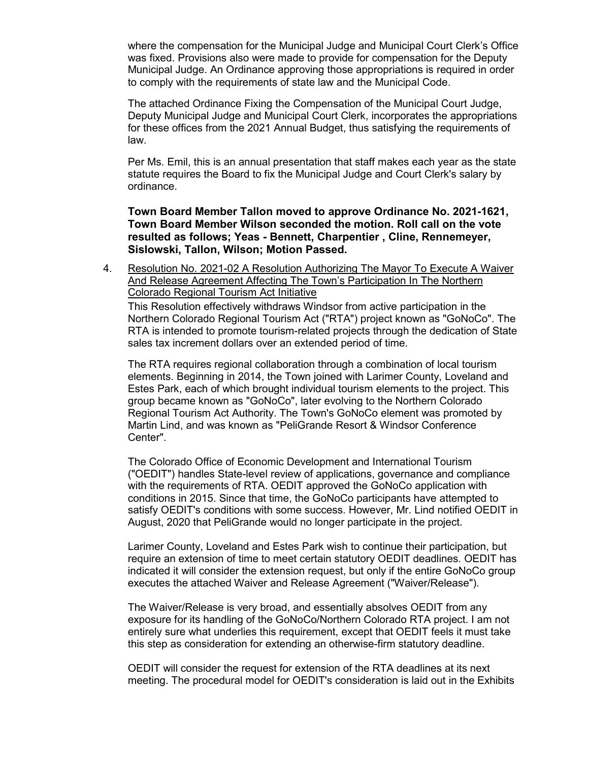where the compensation for the Municipal Judge and Municipal Court Clerk's Office was fixed. Provisions also were made to provide for compensation for the Deputy Municipal Judge. An Ordinance approving those appropriations is required in order to comply with the requirements of state law and the Municipal Code.

The attached Ordinance Fixing the Compensation of the Municipal Court Judge, Deputy Municipal Judge and Municipal Court Clerk, incorporates the appropriations for these offices from the 2021 Annual Budget, thus satisfying the requirements of law.

Per Ms. Emil, this is an annual presentation that staff makes each year as the state statute requires the Board to fix the Municipal Judge and Court Clerk's salary by ordinance.

**Town Board Member Tallon moved to approve Ordinance No. 2021-1621, Town Board Member Wilson seconded the motion. Roll call on the vote resulted as follows; Yeas - Bennett, Charpentier , Cline, Rennemeyer, Sislowski, Tallon, Wilson; Motion Passed.**

4. Resolution No. 2021-02 A Resolution Authorizing The Mayor To Execute A Waiver And Release Agreement Affecting The Town's Participation In The Northern Colorado Regional Tourism Act Initiative

This Resolution effectively withdraws Windsor from active participation in the Northern Colorado Regional Tourism Act ("RTA") project known as "GoNoCo". The RTA is intended to promote tourism-related projects through the dedication of State sales tax increment dollars over an extended period of time.

The RTA requires regional collaboration through a combination of local tourism elements. Beginning in 2014, the Town joined with Larimer County, Loveland and Estes Park, each of which brought individual tourism elements to the project. This group became known as "GoNoCo", later evolving to the Northern Colorado Regional Tourism Act Authority. The Town's GoNoCo element was promoted by Martin Lind, and was known as "PeliGrande Resort & Windsor Conference Center".

The Colorado Office of Economic Development and International Tourism ("OEDIT") handles State-level review of applications, governance and compliance with the requirements of RTA. OEDIT approved the GoNoCo application with conditions in 2015. Since that time, the GoNoCo participants have attempted to satisfy OEDIT's conditions with some success. However, Mr. Lind notified OEDIT in August, 2020 that PeliGrande would no longer participate in the project.

Larimer County, Loveland and Estes Park wish to continue their participation, but require an extension of time to meet certain statutory OEDIT deadlines. OEDIT has indicated it will consider the extension request, but only if the entire GoNoCo group executes the attached Waiver and Release Agreement ("Waiver/Release").

The Waiver/Release is very broad, and essentially absolves OEDIT from any exposure for its handling of the GoNoCo/Northern Colorado RTA project. I am not entirely sure what underlies this requirement, except that OEDIT feels it must take this step as consideration for extending an otherwise-firm statutory deadline.

OEDIT will consider the request for extension of the RTA deadlines at its next meeting. The procedural model for OEDIT's consideration is laid out in the Exhibits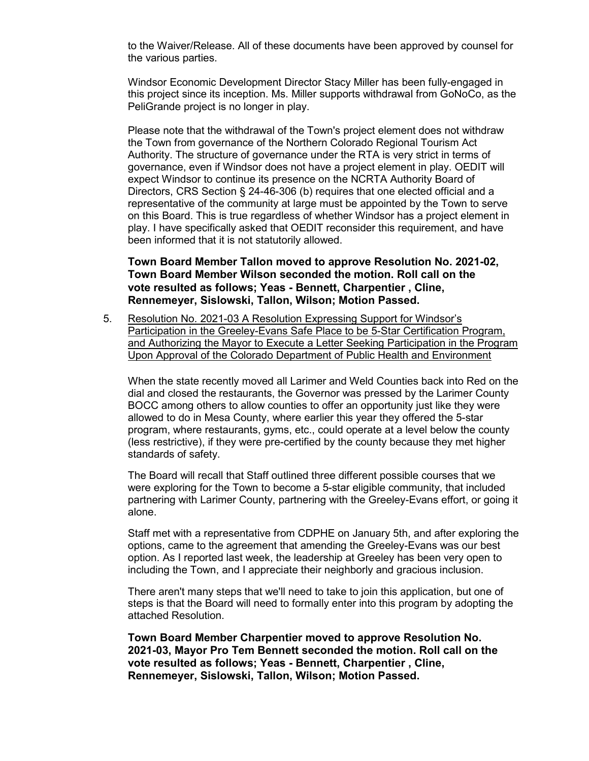to the Waiver/Release. All of these documents have been approved by counsel for the various parties.

Windsor Economic Development Director Stacy Miller has been fully-engaged in this project since its inception. Ms. Miller supports withdrawal from GoNoCo, as the PeliGrande project is no longer in play.

Please note that the withdrawal of the Town's project element does not withdraw the Town from governance of the Northern Colorado Regional Tourism Act Authority. The structure of governance under the RTA is very strict in terms of governance, even if Windsor does not have a project element in play. OEDIT will expect Windsor to continue its presence on the NCRTA Authority Board of Directors, CRS Section § 24-46-306 (b) requires that one elected official and a representative of the community at large must be appointed by the Town to serve on this Board. This is true regardless of whether Windsor has a project element in play. I have specifically asked that OEDIT reconsider this requirement, and have been informed that it is not statutorily allowed.

### **Town Board Member Tallon moved to approve Resolution No. 2021-02, Town Board Member Wilson seconded the motion. Roll call on the vote resulted as follows; Yeas - Bennett, Charpentier , Cline, Rennemeyer, Sislowski, Tallon, Wilson; Motion Passed.**

5. Resolution No. 2021-03 A Resolution Expressing Support for Windsor's Participation in the Greeley-Evans Safe Place to be 5-Star Certification Program, and Authorizing the Mayor to Execute a Letter Seeking Participation in the Program Upon Approval of the Colorado Department of Public Health and Environment

When the state recently moved all Larimer and Weld Counties back into Red on the dial and closed the restaurants, the Governor was pressed by the Larimer County BOCC among others to allow counties to offer an opportunity just like they were allowed to do in Mesa County, where earlier this year they offered the 5-star program, where restaurants, gyms, etc., could operate at a level below the county (less restrictive), if they were pre-certified by the county because they met higher standards of safety.

The Board will recall that Staff outlined three different possible courses that we were exploring for the Town to become a 5-star eligible community, that included partnering with Larimer County, partnering with the Greeley-Evans effort, or going it alone.

Staff met with a representative from CDPHE on January 5th, and after exploring the options, came to the agreement that amending the Greeley-Evans was our best option. As I reported last week, the leadership at Greeley has been very open to including the Town, and I appreciate their neighborly and gracious inclusion.

There aren't many steps that we'll need to take to join this application, but one of steps is that the Board will need to formally enter into this program by adopting the attached Resolution.

**Town Board Member Charpentier moved to approve Resolution No. 2021-03, Mayor Pro Tem Bennett seconded the motion. Roll call on the vote resulted as follows; Yeas - Bennett, Charpentier , Cline, Rennemeyer, Sislowski, Tallon, Wilson; Motion Passed.**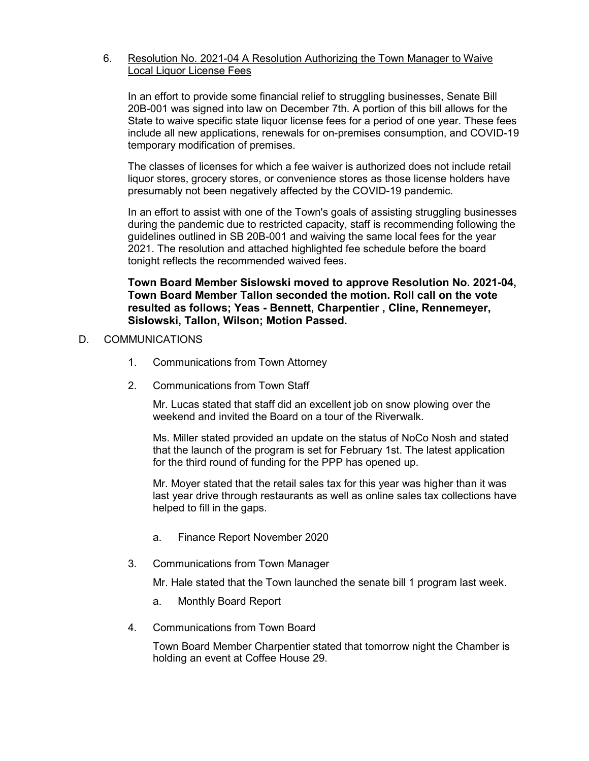## 6. Resolution No. 2021-04 A Resolution Authorizing the Town Manager to Waive Local Liquor License Fees

In an effort to provide some financial relief to struggling businesses, Senate Bill 20B-001 was signed into law on December 7th. A portion of this bill allows for the State to waive specific state liquor license fees for a period of one year. These fees include all new applications, renewals for on-premises consumption, and COVID-19 temporary modification of premises.

The classes of licenses for which a fee waiver is authorized does not include retail liquor stores, grocery stores, or convenience stores as those license holders have presumably not been negatively affected by the COVID-19 pandemic.

In an effort to assist with one of the Town's goals of assisting struggling businesses during the pandemic due to restricted capacity, staff is recommending following the guidelines outlined in SB 20B-001 and waiving the same local fees for the year 2021. The resolution and attached highlighted fee schedule before the board tonight reflects the recommended waived fees.

## **Town Board Member Sislowski moved to approve Resolution No. 2021-04, Town Board Member Tallon seconded the motion. Roll call on the vote resulted as follows; Yeas - Bennett, Charpentier , Cline, Rennemeyer, Sislowski, Tallon, Wilson; Motion Passed.**

## D. COMMUNICATIONS

- 1. Communications from Town Attorney
- 2. Communications from Town Staff

Mr. Lucas stated that staff did an excellent job on snow plowing over the weekend and invited the Board on a tour of the Riverwalk.

Ms. Miller stated provided an update on the status of NoCo Nosh and stated that the launch of the program is set for February 1st. The latest application for the third round of funding for the PPP has opened up.

Mr. Moyer stated that the retail sales tax for this year was higher than it was last year drive through restaurants as well as online sales tax collections have helped to fill in the gaps.

- a. Finance Report November 2020
- 3. Communications from Town Manager

Mr. Hale stated that the Town launched the senate bill 1 program last week.

- a. Monthly Board Report
- 4. Communications from Town Board

Town Board Member Charpentier stated that tomorrow night the Chamber is holding an event at Coffee House 29.